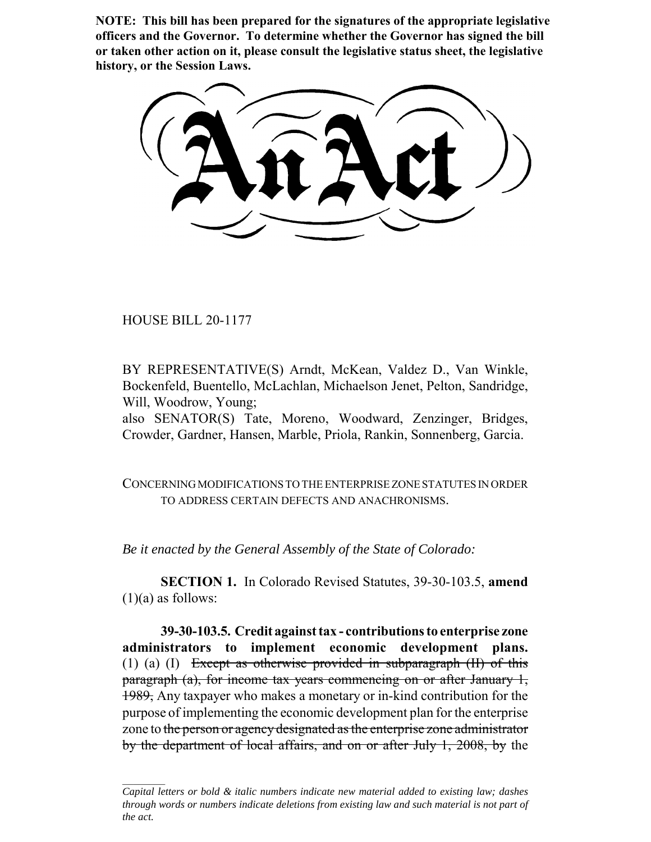**NOTE: This bill has been prepared for the signatures of the appropriate legislative officers and the Governor. To determine whether the Governor has signed the bill or taken other action on it, please consult the legislative status sheet, the legislative history, or the Session Laws.**

HOUSE BILL 20-1177

BY REPRESENTATIVE(S) Arndt, McKean, Valdez D., Van Winkle, Bockenfeld, Buentello, McLachlan, Michaelson Jenet, Pelton, Sandridge, Will, Woodrow, Young;

also SENATOR(S) Tate, Moreno, Woodward, Zenzinger, Bridges, Crowder, Gardner, Hansen, Marble, Priola, Rankin, Sonnenberg, Garcia.

CONCERNING MODIFICATIONS TO THE ENTERPRISE ZONE STATUTES IN ORDER TO ADDRESS CERTAIN DEFECTS AND ANACHRONISMS.

*Be it enacted by the General Assembly of the State of Colorado:*

**SECTION 1.** In Colorado Revised Statutes, 39-30-103.5, **amend**  $(1)(a)$  as follows:

**39-30-103.5. Credit against tax - contributions to enterprise zone administrators to implement economic development plans.** (1) (a) (I) Except as otherwise provided in subparagraph (II) of this paragraph (a), for income tax years commencing on or after January 1, 1989, Any taxpayer who makes a monetary or in-kind contribution for the purpose of implementing the economic development plan for the enterprise zone to the person or agency designated as the enterprise zone administrator by the department of local affairs, and on or after July 1, 2008, by the

*Capital letters or bold & italic numbers indicate new material added to existing law; dashes through words or numbers indicate deletions from existing law and such material is not part of the act.*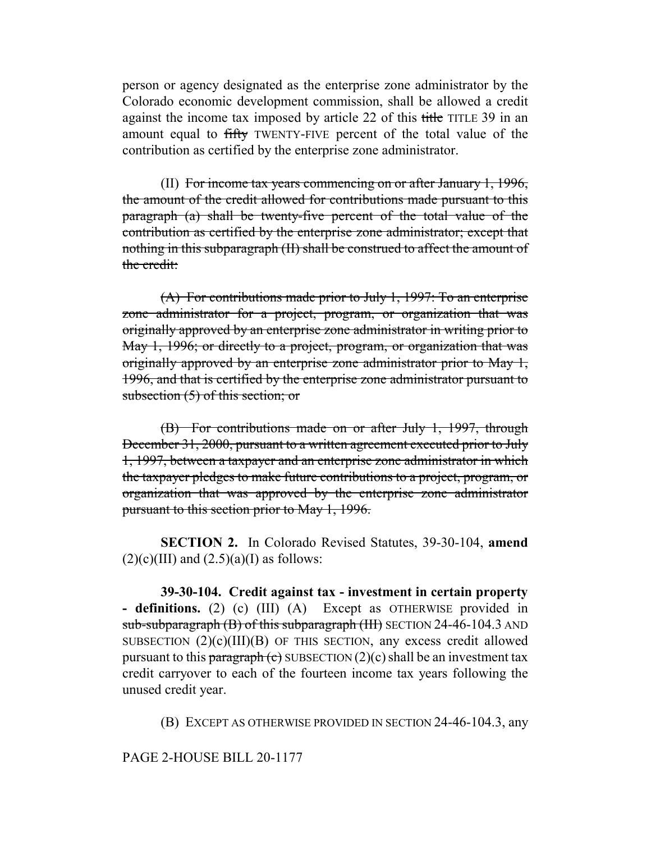person or agency designated as the enterprise zone administrator by the Colorado economic development commission, shall be allowed a credit against the income tax imposed by article 22 of this title TITLE 39 in an amount equal to fifty TWENTY-FIVE percent of the total value of the contribution as certified by the enterprise zone administrator.

(II) For income tax years commencing on or after January 1, 1996, the amount of the credit allowed for contributions made pursuant to this paragraph (a) shall be twenty-five percent of the total value of the contribution as certified by the enterprise zone administrator; except that nothing in this subparagraph (II) shall be construed to affect the amount of the credit:

(A) For contributions made prior to July 1, 1997: To an enterprise zone administrator for a project, program, or organization that was originally approved by an enterprise zone administrator in writing prior to May 1, 1996; or directly to a project, program, or organization that was originally approved by an enterprise zone administrator prior to May 1, 1996, and that is certified by the enterprise zone administrator pursuant to subsection (5) of this section; or

(B) For contributions made on or after July 1, 1997, through December 31, 2000, pursuant to a written agreement executed prior to July 1, 1997, between a taxpayer and an enterprise zone administrator in which the taxpayer pledges to make future contributions to a project, program, or organization that was approved by the enterprise zone administrator pursuant to this section prior to May 1, 1996.

**SECTION 2.** In Colorado Revised Statutes, 39-30-104, **amend**  $(2)(c)(III)$  and  $(2.5)(a)(I)$  as follows:

**39-30-104. Credit against tax - investment in certain property - definitions.** (2) (c) (III) (A) Except as OTHERWISE provided in sub-subparagraph (B) of this subparagraph (III) SECTION 24-46-104.3 AND SUBSECTION  $(2)(c)(III)(B)$  OF THIS SECTION, any excess credit allowed pursuant to this paragraph (c) SUBSECTION  $(2)(c)$  shall be an investment tax credit carryover to each of the fourteen income tax years following the unused credit year.

(B) EXCEPT AS OTHERWISE PROVIDED IN SECTION 24-46-104.3, any

PAGE 2-HOUSE BILL 20-1177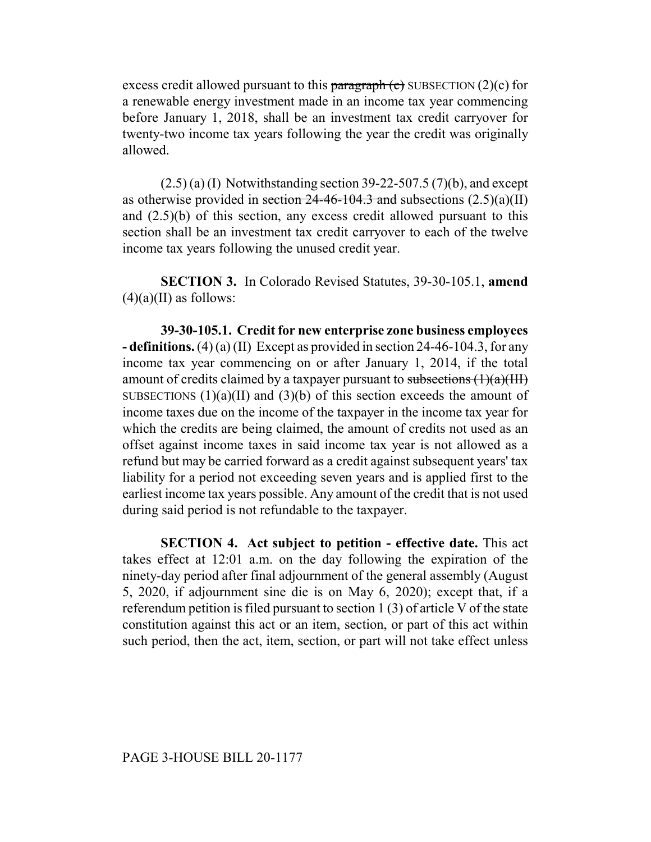excess credit allowed pursuant to this paragraph  $(c)$  SUBSECTION  $(2)(c)$  for a renewable energy investment made in an income tax year commencing before January 1, 2018, shall be an investment tax credit carryover for twenty-two income tax years following the year the credit was originally allowed.

 $(2.5)$  (a) (I) Notwithstanding section 39-22-507.5 (7)(b), and except as otherwise provided in section  $24-46-104.3$  and subsections  $(2.5)(a)(II)$ and (2.5)(b) of this section, any excess credit allowed pursuant to this section shall be an investment tax credit carryover to each of the twelve income tax years following the unused credit year.

**SECTION 3.** In Colorado Revised Statutes, 39-30-105.1, **amend**  $(4)(a)(II)$  as follows:

**39-30-105.1. Credit for new enterprise zone business employees - definitions.** (4) (a) (II) Except as provided in section 24-46-104.3, for any income tax year commencing on or after January 1, 2014, if the total amount of credits claimed by a taxpayer pursuant to subsections  $(1)(a)(III)$ SUBSECTIONS  $(1)(a)(II)$  and  $(3)(b)$  of this section exceeds the amount of income taxes due on the income of the taxpayer in the income tax year for which the credits are being claimed, the amount of credits not used as an offset against income taxes in said income tax year is not allowed as a refund but may be carried forward as a credit against subsequent years' tax liability for a period not exceeding seven years and is applied first to the earliest income tax years possible. Any amount of the credit that is not used during said period is not refundable to the taxpayer.

**SECTION 4. Act subject to petition - effective date.** This act takes effect at 12:01 a.m. on the day following the expiration of the ninety-day period after final adjournment of the general assembly (August 5, 2020, if adjournment sine die is on May 6, 2020); except that, if a referendum petition is filed pursuant to section 1 (3) of article V of the state constitution against this act or an item, section, or part of this act within such period, then the act, item, section, or part will not take effect unless